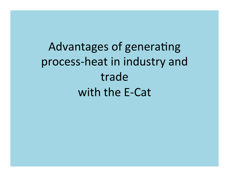Advantages of generating process-heat in industry and trade with the E-Cat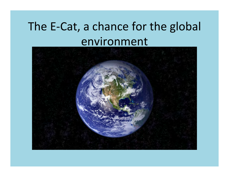# The E-Cat, a chance for the global environment

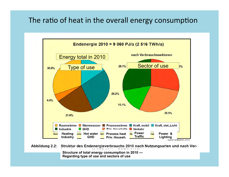#### The ratio of heat in the overall energy consumption



Structure of total energy consumption in 2010 ---Regarding type of use and sectors of use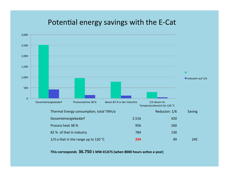#### Potential energy savings with the E-Cat



This corresponds 36.750 1 MW-ECATS (when 8000 hours active a year)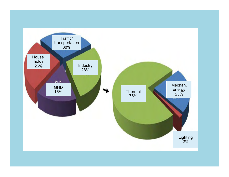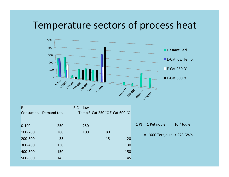#### Temperature sectors of process heat



| $PI-$     |                       | E-Cat low |                                |     |                               |                   |
|-----------|-----------------------|-----------|--------------------------------|-----|-------------------------------|-------------------|
|           | Consumpt. Demand tot. |           | Temp.E-Cat 250 °C E-Cat 600 °C |     |                               |                   |
|           |                       |           |                                |     |                               |                   |
| $0 - 100$ | 250                   | 250       |                                |     | $1$ PJ = 1 Petajoule          | $= 10^{15}$ Joule |
| 100-200   | 280                   | 100       | 180                            |     | $= 1'000$ Terajoule = 278 GWh |                   |
| 200-300   | 35                    |           | 15                             | 20  |                               |                   |
| 300-400   | 130                   |           |                                | 130 |                               |                   |
| 400-500   | 150                   |           |                                | 150 |                               |                   |
| 500-600   | 145                   |           |                                | 145 |                               |                   |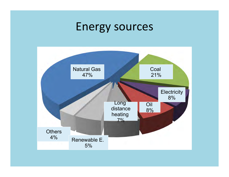# Energy sources

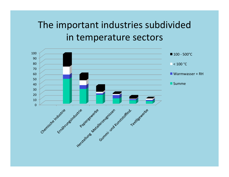### The important industries subdivided in temperature sectors

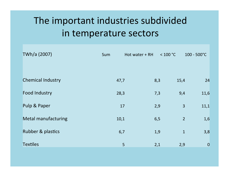## The important industries subdivided in temperature sectors

| TWh/a (2007)               | Sum  | Hot water + RH | < 100 °C       | $100 - 500^{\circ}C$ |
|----------------------------|------|----------------|----------------|----------------------|
|                            |      |                |                |                      |
| <b>Chemical Industry</b>   | 47,7 | 8,3            | 15,4           | 24                   |
| <b>Food Industry</b>       | 28,3 | 7,3            | 9,4            | 11,6                 |
| Pulp & Paper               | 17   | 2,9            | $\overline{3}$ | 11,1                 |
| <b>Metal manufacturing</b> | 10,1 | 6,5            | $\overline{2}$ | 1,6                  |
| Rubber & plastics          | 6,7  | 1,9            | $\mathbf{1}$   | 3,8                  |
| <b>Textiles</b>            | 5    | 2,1            | 2,9            | $\overline{0}$       |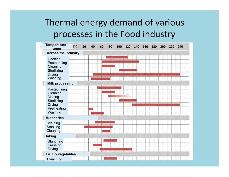#### Thermal energy demand of various processes in the Food industry

| <b>Temperature</b><br>range                                                                   | [°c] | 20 | 40 | 60 | 80 | 100 | 120 | 140 | 160 | 180 | 200 | 220 | 240 |
|-----------------------------------------------------------------------------------------------|------|----|----|----|----|-----|-----|-----|-----|-----|-----|-----|-----|
| <b>Across the industry</b>                                                                    |      |    |    |    |    |     |     |     |     |     |     |     |     |
| Cooking<br>Pasteurizing<br>Cleaning<br>Sterilizing<br><b>Drying</b><br>Washing                |      |    |    |    |    |     |     |     |     |     |     |     |     |
| <b>Milk processing</b>                                                                        |      |    |    |    |    |     |     |     |     |     |     |     |     |
| Pasteurizing<br>Cleaning<br>Melting<br>Sterilizing<br><b>Drying</b><br>Pre-heating<br>Washing |      |    |    |    |    |     |     |     |     |     |     |     |     |
| <b>Butcheries</b>                                                                             |      |    |    |    |    |     |     |     |     |     |     |     |     |
| Scalding<br>Smoking<br>Cleaning                                                               |      |    |    |    |    |     |     |     |     |     |     |     |     |
| <b>Baking</b>                                                                                 |      |    |    |    |    |     |     |     |     |     |     |     |     |
| <b>Blanching</b><br>Pressing<br><b>Drying</b>                                                 |      |    |    |    |    |     |     |     |     |     |     |     |     |
| <b>Fruit &amp; vegetables</b>                                                                 |      |    |    |    |    |     |     |     |     |     |     |     |     |
| <b>Blanching</b>                                                                              |      |    |    |    |    |     |     |     |     |     |     |     |     |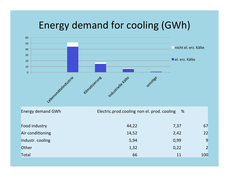### Energy demand for cooling (GWh)

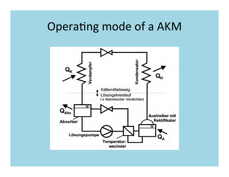# Operating mode of a AKM

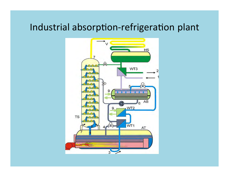#### Industrial absorption-refrigeration plant

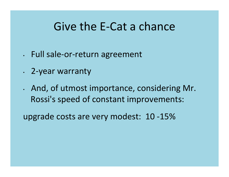## Give the E-Cat a chance

- . Full sale-or-return agreement
- . 2-year warranty
- . And, of utmost importance, considering Mr. Rossi's speed of constant improvements:

upgrade costs are very modest: 10-15%